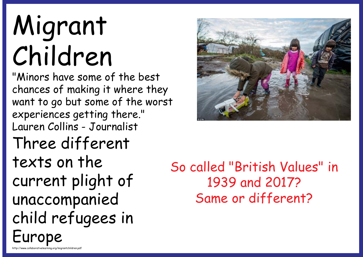# Migrant Children

http://www.collaborativelearning.org/migrantchildren.pdf

"Minors have some of the best chances of making it where they want to go but some of the worst experiences getting there." Lauren Collins - Journalist Three different texts on the current plight of unaccompanied child refugees in Europe



So called "British Values" in 1939 and 2017? Same or different?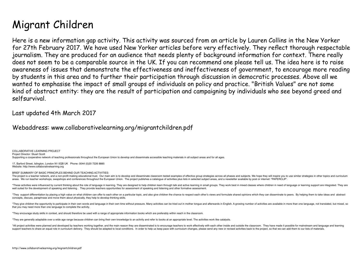# Migrant Children

Here is a new information gap activity. This activity was sourced from an article by Lauren Collins in the New Yorker for 27th February 2017. We have used New Yorker articles before very effectively. They reflect thorough respectable journalism. They are produced for an audience that needs plenty of background information for context. There really does not seem to be a comparable source in the UK. If you can recommend one please tell us. The idea here is to raise awareness of issues that demonstrate the effectiveness and ineffectiveness of government, to encourage more reading by students in this area and to further their participation through discussion in democratic processes. Above all we wanted to emphasise the impact of small groups of individuals on policy and practice. "British Values" are not some kind of abstract entity: they are the result of participation and campaigning by individuals who see beyond greed and selfsurvival.

Last updated 4th March 2017

Webaddress: www.collaborativelearning.org/migrantchildren.pdf

COLLABORATIVE LEARNING PROJECT Project Director: Stuart Scott Supporting a cooperative network of teaching professionals throughout the European Union to develop and disseminate accessible teaching materials in all subject areas and for all ages.

17, Barford Street, Islington, London N1 0QB UK Phone: 0044 (0)20 7226 8885 Website: http://www.collaborativelearning.org

BRIEF SUMMARY OF BASIC PRINCIPLES BEHIND OUR TEACHING ACTIVITIES:

The project is a teacher network, and a non-profit making educational trust. Our main aim is to develop and disseminate classroom tested examples of effective group strategies across all phases and subjects. We hope they w areas. We run teacher workshops, swapshops and conferences throughout the European Union. The project publishes a cataloque of activities plus lists in selected subject areas, and a newsletter available by post or internet

\*These activities were influenced by current thinking about the role of language in learning. They are designed to help children learn through talk and active learning in small groups. They work best in mixed classes where well suited for the development of speaking and listening. They provide teachers opportunities for assessment of speaking and listening and other formative assessment.

\*They support differentiation by placing a bigh value on what children can offer to each other on a particular tonic, and also give children the chance to respect each other's views and formulate shared onions which they c concepts, discuss, paraphrase and move them about physically, they help to develop thinking skills.

\*They give children the opportunity to participate in their own words and language in their own time without pressure. Many activities can be tried out in mother tongue and afterwards in English. A growing number of activi that you may need more than one language to complete the activity.

\*They encourage study skills in context, and should therefore be used with a range of appropriate information books which are preferably within reach in the classroom.

\*They are generally adaptable over a wide age range because children can bring their own knowledge to an activity and refer to books at an appropriate level. The activities work like catalysts.

\*All project activities were planned and developed by teachers working together, and the main reason they are disseminated is to encourage teachers to work effectively with each other inside and outside the classroom. They support teachers to share an equal role in curriculum delivery. They should be adapted to local conditions. In order to help us keep pace with curriculum changes, please send any new or revised activities back to the proje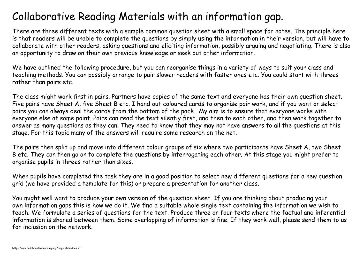## Collaborative Reading Materials with an information gap.

There are three different texts with a sample common question sheet with a small space for notes. The principle here is that readers will be unable to complete the questions by simply using the information in their version, but will have to collaborate with other readers, asking questions and eliciting information, possibly arguing and negotiating. There is also an opportunity to draw on their own previous knowledge or seek out other information.

We have outlined the following procedure, but you can reorganise things in a variety of ways to suit your class and teaching methods. You can possibly arrange to pair slower readers with faster ones etc. You could start with threes rather than pairs etc.

The class might work first in pairs. Partners have copies of the same text and everyone has their own question sheet. Five pairs have Sheet A, five Sheet B etc. I hand out coloured cards to organise pair work, and if you want or select pairs you can always deal the cards from the bottom of the pack. My aim is to ensure that everyone works with everyone else at some point. Pairs can read the text silently first, and then to each other, and then work together to answer as many questions as they can. They need to know that they may not have answers to all the questions at this stage. For this topic many of the answers will require some research on the net.

The pairs then split up and move into different colour groups of six where two participants have Sheet A, two Sheet B etc. They can then go on to complete the questions by interrogating each other. At this stage you might prefer to organise pupils in threes rather than sixes.

When pupils have completed the task they are in a good position to select new different questions for a new question grid (we have provided a template for this) or prepare a presentation for another class.

You might well want to produce your own version of the question sheet. If you are thinking about producing your own information gaps this is how we do it. We find a suitable whole single text containing the information we wish to teach. We formulate a series of questions for the text. Produce three or four texts where the factual and inferential information is shared between them. Some overlapping of information is fine. If they work well, please send them to us for inclusion on the network.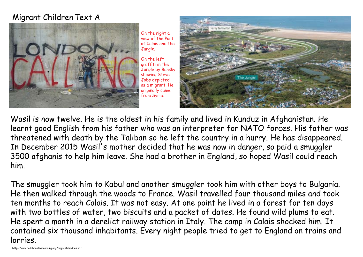#### Migrant ChildrenText A



On the right a view of the Port of Calais and the Jungle.

On the left graffiti in the Jungle by Bansky showing Steve Jobs depicted as a migrant. He originally came from Syria.



Wasil is now twelve. He is the oldest in his family and lived in Kunduz in Afghanistan. He learnt good English from his father who was an interpreter for NATO forces. His father was threatened with death by the Taliban so he left the country in a hurry. He has disappeared. In December 2015 Wasil's mother decided that he was now in danger, so paid a smuggler 3500 afghanis to help him leave. She had a brother in England, so hoped Wasil could reach him.

The smuggler took him to Kabul and another smuggler took him with other boys to Bulgaria. He then walked through the woods to France. Wasil travelled four thousand miles and took ten months to reach Calais. It was not easy. At one point he lived in a forest for ten days with two bottles of water, two biscuits and a packet of dates. He found wild plums to eat. He spent a month in a derelict railway station in Italy. The camp in Calais shocked him. It contained six thousand inhabitants. Every night people tried to get to England on trains and lorries.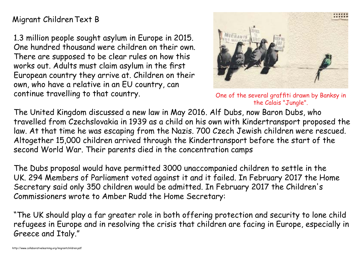#### Migrant ChildrenText B

1.3 million people sought asylum in Europe in 2015. One hundred thousand were children on their own. There are supposed to be clear rules on how this works out. Adults must claim asylum in the first European country they arrive at. Children on their own, who have a relative in an EU country, can continue travelling to that country.



One of the several graffiti drawn by Banksy in the Calais "Jungle".

The United Kingdom discussed a new law in May 2016. Alf Dubs, now Baron Dubs, who travelled from Czechslovakia in 1939 as a child on his own with Kindertransport proposed the law. At that time he was escaping from the Nazis. 700 Czech Jewish children were rescued. Altogether 15,000 children arrived through the Kindertransport before the start of the second World War. Their parents died in the concentration camps

The Dubs proposal would have permitted 3000 unaccompanied children to settle in the UK. 294 Members of Parliament voted against it and it failed. In February 2017 the Home Secretary said only 350 children would be admitted. In February 2017 the Children's Commissioners wrote to Amber Rudd the Home Secretary:

"The UK should play a far greater role in both offering protection and security to lone child refugees in Europe and in resolving the crisis that children are facing in Europe, especially in Greece and Italy."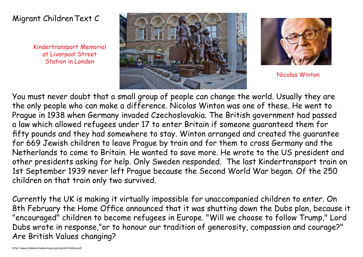#### Migrant ChildrenText C

Kindertransport Memorial at Liverpool Street Station in London





Nicolas Winton

You must never doubt that a small group of people can change the world. Usually they are the only people who can make a difference. Nicolas Winton was one of these. He went to Prague in 1938 when Germany invaded Czechoslovakia. The British government had passed a law which allowed refugees under 17 to enter Britain if someone guaranteed them for fifty pounds and they had somewhere to stay. Winton arranged and created the guarantee for 669 Jewish children to leave Prague by train and for them to cross Germany and the Netherlands to come to Britain. He wanted to save more. He wrote to the US president and other presidents asking for help. Only Sweden responded. The last Kindertransport train on 1st September 1939 never left Prague because the Second World War began. Of the 250 children on that train only two survived.

Currently the UK is making it virtually impossible for unaccompanied children to enter. On 8th February the Home Office announced that it was shutting down the Dubs plan, because it "encouraged" children to become refugees in Europe. "Will we choose to follow Trump," Lord Dubs wrote in response,"or to honour our tradition of generosity, compassion and courage?" Are British Values changing?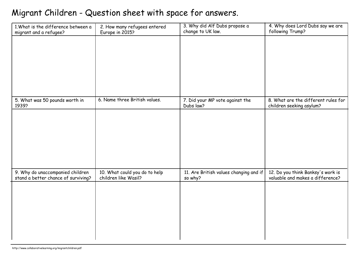## Migrant Children - Question sheet with space for answers.

| 1. What is the difference between a<br>migrant and a refugee?           | 2. How many refugees entered<br>Europe in 2015?       | 3. Why did Alf Dubs propose a<br>change to UK law. | 4. Why does Lord Dubs say we are<br>following Trump?                  |
|-------------------------------------------------------------------------|-------------------------------------------------------|----------------------------------------------------|-----------------------------------------------------------------------|
|                                                                         |                                                       |                                                    |                                                                       |
|                                                                         |                                                       |                                                    |                                                                       |
|                                                                         |                                                       |                                                    |                                                                       |
|                                                                         |                                                       |                                                    |                                                                       |
|                                                                         |                                                       |                                                    |                                                                       |
| 5. What was 50 pounds worth in<br>1939?                                 | 6. Name three British values.                         | 7. Did your MP vote against the<br>Dubs law?       | 8. What are the different rules for<br>children seeking asylum?       |
|                                                                         |                                                       |                                                    |                                                                       |
|                                                                         |                                                       |                                                    |                                                                       |
|                                                                         |                                                       |                                                    |                                                                       |
|                                                                         |                                                       |                                                    |                                                                       |
|                                                                         |                                                       |                                                    |                                                                       |
| 9. Why do unaccompanied children<br>stand a better chance of surviving? | 10. What could you do to help<br>children like Wasil? | 11. Are British values changing and if<br>so why?  | 12. Do you think Banksy's work is<br>valuable and makes a difference? |
|                                                                         |                                                       |                                                    |                                                                       |
|                                                                         |                                                       |                                                    |                                                                       |
|                                                                         |                                                       |                                                    |                                                                       |
|                                                                         |                                                       |                                                    |                                                                       |
|                                                                         |                                                       |                                                    |                                                                       |